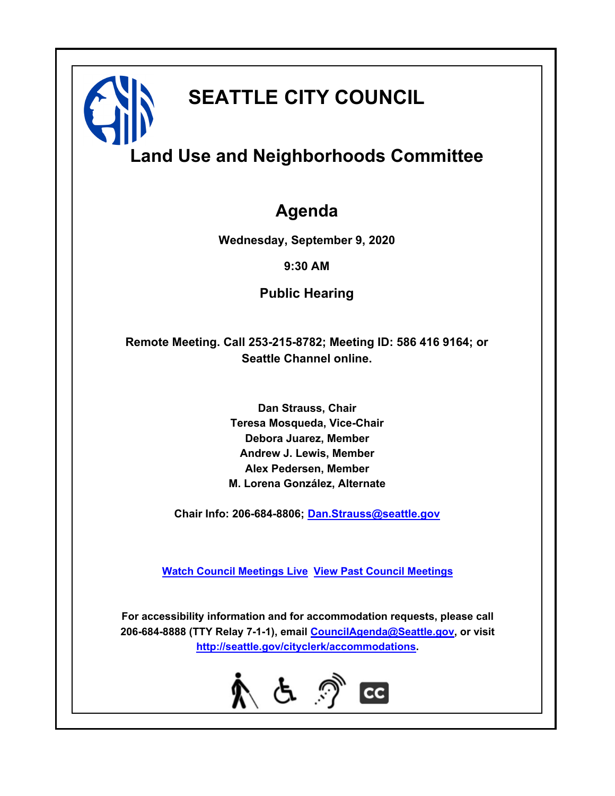

# **SEATTLE CITY COUNCIL**

# **Land Use and Neighborhoods Committee**

### **Agenda**

**Wednesday, September 9, 2020**

**9:30 AM**

**Public Hearing**

**Remote Meeting. Call 253-215-8782; Meeting ID: 586 416 9164; or Seattle Channel online.**

> **Dan Strauss, Chair Teresa Mosqueda, Vice-Chair Debora Juarez, Member Andrew J. Lewis, Member Alex Pedersen, Member M. Lorena González, Alternate**

**Chair Info: 206-684-8806; [Dan.Strauss@seattle.gov](mailto: Dan.Strauss@seattle.gov)**

**[Watch Council Meetings Live](http://www.seattle.gov/council/councillive.htm) [View Past Council Meetings](http://www.seattlechannel.org/videos/browseVideos.asp?topic=council)**

**For accessibility information and for accommodation requests, please call 206-684-8888 (TTY Relay 7-1-1), email [CouncilAgenda@Seattle.gov](mailto: CouncilAgenda@Seattle.gov), or visit <http://seattle.gov/cityclerk/accommodations>.**

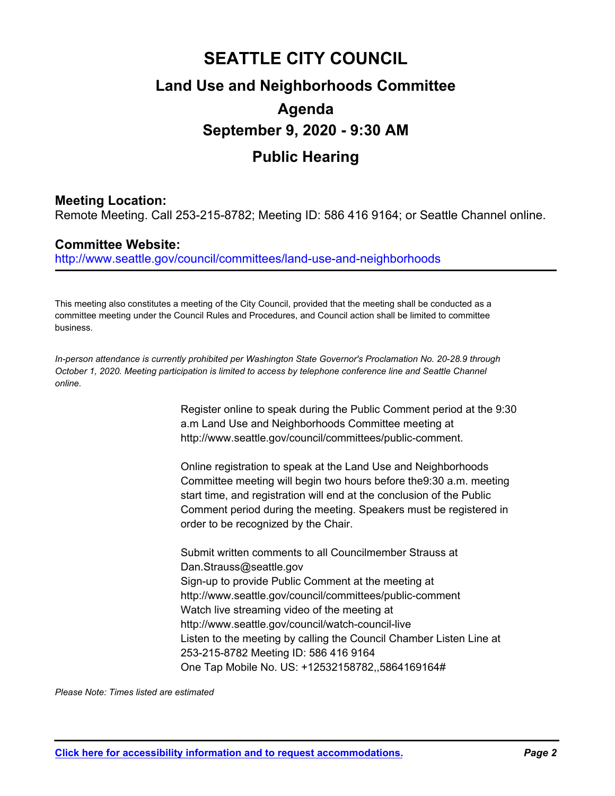## **SEATTLE CITY COUNCIL Land Use and Neighborhoods Committee Agenda September 9, 2020 - 9:30 AM Public Hearing**

### **Meeting Location:**

Remote Meeting. Call 253-215-8782; Meeting ID: 586 416 9164; or Seattle Channel online.

#### **Committee Website:**

http://www.seattle.gov/council/committees/land-use-and-neighborhoods

This meeting also constitutes a meeting of the City Council, provided that the meeting shall be conducted as a committee meeting under the Council Rules and Procedures, and Council action shall be limited to committee business.

*In-person attendance is currently prohibited per Washington State Governor's Proclamation No. 20-28.9 through October 1, 2020. Meeting participation is limited to access by telephone conference line and Seattle Channel online.*

> Register online to speak during the Public Comment period at the 9:30 a.m Land Use and Neighborhoods Committee meeting at http://www.seattle.gov/council/committees/public-comment.

Online registration to speak at the Land Use and Neighborhoods Committee meeting will begin two hours before the9:30 a.m. meeting start time, and registration will end at the conclusion of the Public Comment period during the meeting. Speakers must be registered in order to be recognized by the Chair.

Submit written comments to all Councilmember Strauss at Dan.Strauss@seattle.gov Sign-up to provide Public Comment at the meeting at http://www.seattle.gov/council/committees/public-comment Watch live streaming video of the meeting at http://www.seattle.gov/council/watch-council-live Listen to the meeting by calling the Council Chamber Listen Line at 253-215-8782 Meeting ID: 586 416 9164 One Tap Mobile No. US: +12532158782,,5864169164#

*Please Note: Times listed are estimated*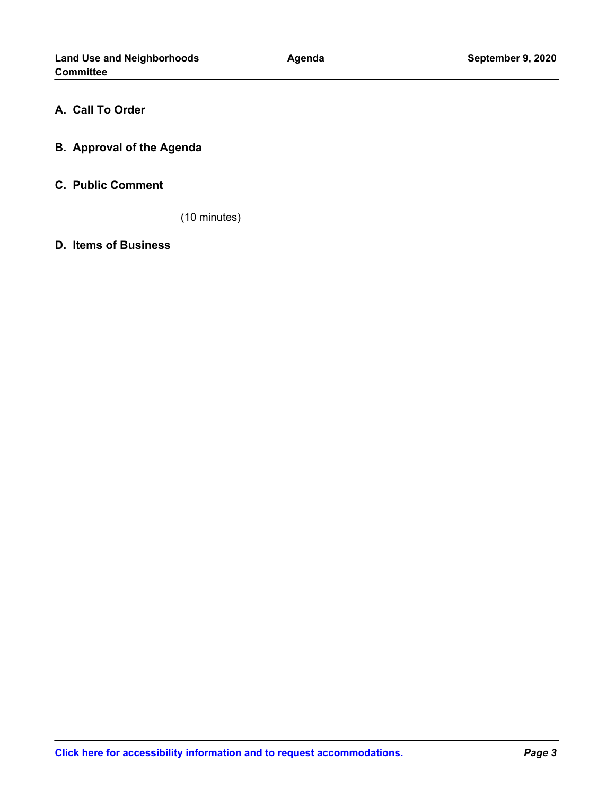#### **A. Call To Order**

**B. Approval of the Agenda**

#### **C. Public Comment**

(10 minutes)

**D. Items of Business**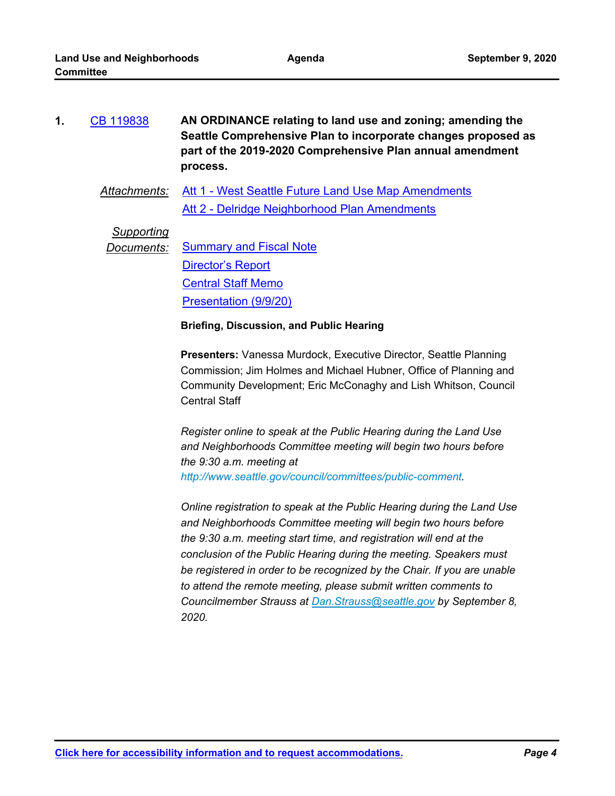| 1. | CB 119838 | AN ORDINANCE relating to land use and zoning; amending the    |
|----|-----------|---------------------------------------------------------------|
|    |           | Seattle Comprehensive Plan to incorporate changes proposed as |
|    |           | part of the 2019-2020 Comprehensive Plan annual amendment     |
|    |           | process.                                                      |

*Attachments:* [Att 1 - West Seattle Future Land Use Map Amendments](http://seattle.legistar.com/gateway.aspx?M=F&ID=0bc7971e-72b4-47dc-8202-878d5064095c.pdf) [Att 2 - Delridge Neighborhood Plan Amendments](http://seattle.legistar.com/gateway.aspx?M=F&ID=26154e38-851f-4374-bc3e-52177dd71834.docx)

*Supporting*

**Documents:** [Summary and Fiscal Note](http://seattle.legistar.com/gateway.aspx?M=F&ID=10b8c79d-c824-4d9b-8682-6992172ef5be.docx) [Director's Report](http://seattle.legistar.com/gateway.aspx?M=F&ID=cffd4443-9034-4018-9d64-182b6dea5476.docx) [Central Staff Memo](http://seattle.legistar.com/gateway.aspx?M=F&ID=d795ca57-a78f-4eec-a73e-854c863db484.pdf) [Presentation \(9/9/20\)](http://seattle.legistar.com/gateway.aspx?M=F&ID=4275c3e4-1397-4606-b2b3-25e52952cf4a.pptx)

#### **Briefing, Discussion, and Public Hearing**

**Presenters:** Vanessa Murdock, Executive Director, Seattle Planning Commission; Jim Holmes and Michael Hubner, Office of Planning and Community Development; Eric McConaghy and Lish Whitson, Council Central Staff

*Register online to speak at the Public Hearing during the Land Use and Neighborhoods Committee meeting will begin two hours before the 9:30 a.m. meeting at http://www.seattle.gov/council/committees/public-comment.*

*Online registration to speak at the Public Hearing during the Land Use and Neighborhoods Committee meeting will begin two hours before the 9:30 a.m. meeting start time, and registration will end at the conclusion of the Public Hearing during the meeting. Speakers must be registered in order to be recognized by the Chair. If you are unable to attend the remote meeting, please submit written comments to Councilmember Strauss at Dan.Strauss@seattle.gov by September 8, 2020.*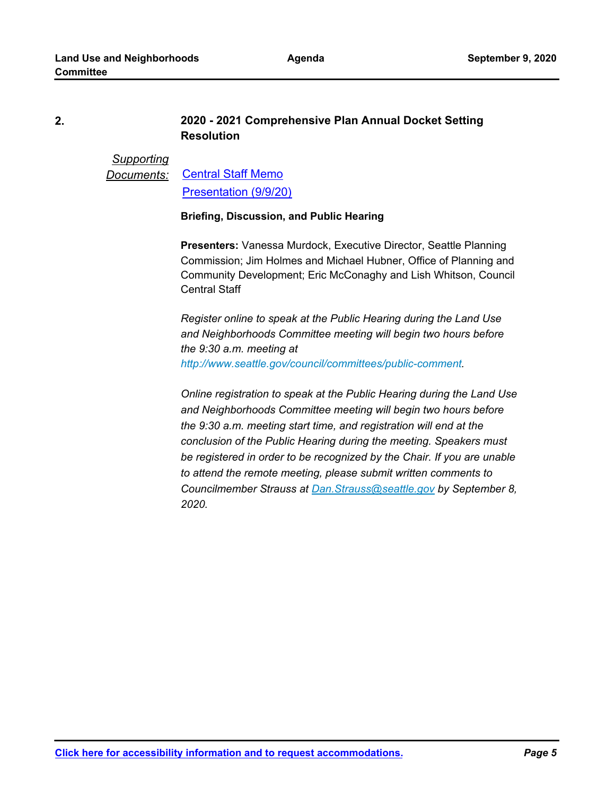#### **2020 - 2021 Comprehensive Plan Annual Docket Setting Resolution 2.**

*Supporting Documents:* [Central Staff Memo](http://seattle.legistar.com/gateway.aspx?M=F&ID=a7a49503-5cf0-4fdc-8b5f-57853764537f.pdf) [Presentation \(9/9/20\)](http://seattle.legistar.com/gateway.aspx?M=F&ID=2bda52c2-7f98-4ea7-b00e-ccc89d96d6bb.pptx)

#### **Briefing, Discussion, and Public Hearing**

**Presenters:** Vanessa Murdock, Executive Director, Seattle Planning Commission; Jim Holmes and Michael Hubner, Office of Planning and Community Development; Eric McConaghy and Lish Whitson, Council Central Staff

*Register online to speak at the Public Hearing during the Land Use and Neighborhoods Committee meeting will begin two hours before the 9:30 a.m. meeting at http://www.seattle.gov/council/committees/public-comment.*

*Online registration to speak at the Public Hearing during the Land Use and Neighborhoods Committee meeting will begin two hours before the 9:30 a.m. meeting start time, and registration will end at the conclusion of the Public Hearing during the meeting. Speakers must be registered in order to be recognized by the Chair. If you are unable to attend the remote meeting, please submit written comments to Councilmember Strauss at Dan.Strauss@seattle.gov by September 8, 2020.* 

**[Click here for accessibility information and to request accommodations.](http://seattle.gov/cityclerk/accommodations)** *Page 5*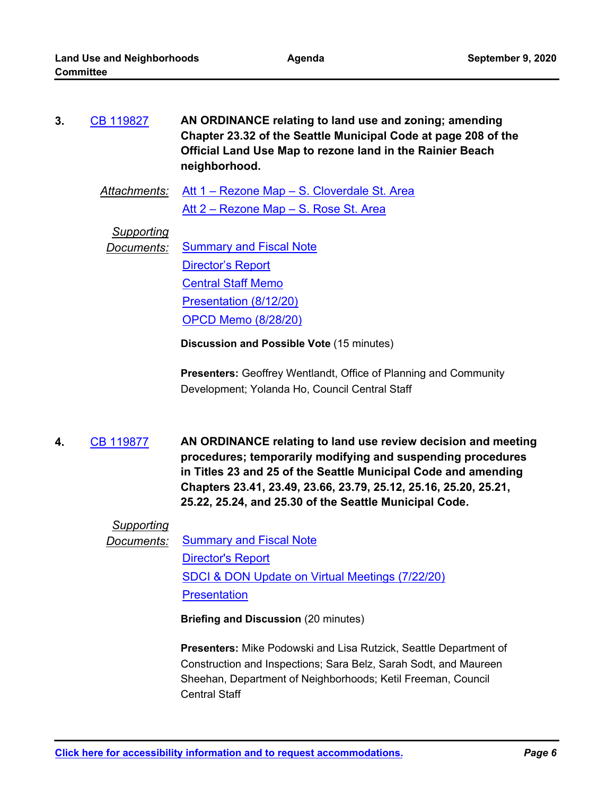| 3. | CB 119827 | AN ORDINANCE relating to land use and zoning; amending         |
|----|-----------|----------------------------------------------------------------|
|    |           | Chapter 23.32 of the Seattle Municipal Code at page 208 of the |
|    |           | Official Land Use Map to rezone land in the Rainier Beach      |
|    |           | neighborhood.                                                  |

*Attachments:* [Att 1 – Rezone Map – S. Cloverdale St. Area](http://seattle.legistar.com/gateway.aspx?M=F&ID=a38a4e00-f89a-413b-8e9a-a689c867c98d.docx) [Att 2 – Rezone Map – S. Rose St. Area](http://seattle.legistar.com/gateway.aspx?M=F&ID=33d15d10-5c9b-4ba7-99e0-cf1bf9062b9f.docx)

*Supporting*

**Documents:** [Summary and Fiscal Note](http://seattle.legistar.com/gateway.aspx?M=F&ID=5bbb2250-80fc-4040-9cc4-7ac6d24d749e.docx) [Director's Report](http://seattle.legistar.com/gateway.aspx?M=F&ID=183007f9-ff42-4e16-b60a-cdcccaad07f5.docx) [Central Staff Memo](http://seattle.legistar.com/gateway.aspx?M=F&ID=62ca1336-e5a2-4483-af5c-4dc5c7583d4f.pdf) [Presentation \(8/12/20\)](http://seattle.legistar.com/gateway.aspx?M=F&ID=f35c0735-40cb-47ad-b540-78a956a50668.pptx) [OPCD Memo \(8/28/20\)](http://seattle.legistar.com/gateway.aspx?M=F&ID=ea57e670-3c59-444e-9a06-e690555cace0.pdf)

**Discussion and Possible Vote** (15 minutes)

**Presenters:** Geoffrey Wentlandt, Office of Planning and Community Development; Yolanda Ho, Council Central Staff

**AN ORDINANCE relating to land use review decision and meeting procedures; temporarily modifying and suspending procedures in Titles 23 and 25 of the Seattle Municipal Code and amending Chapters 23.41, 23.49, 23.66, 23.79, 25.12, 25.16, 25.20, 25.21, 25.22, 25.24, and 25.30 of the Seattle Municipal Code. 4.** [CB 119877](http://seattle.legistar.com/gateway.aspx?m=l&id=/matter.aspx?key=10385)

#### *Supporting*

*Documents:* [Summary and Fiscal Note](http://seattle.legistar.com/gateway.aspx?M=F&ID=c0228143-8add-4fe5-83ce-ec66582dd741.docx) [Director's Report](http://seattle.legistar.com/gateway.aspx?M=F&ID=e81cbeca-9a4d-4f2d-b339-693d722e6c57.docx) [SDCI & DON Update on Virtual Meetings \(7/22/20\)](http://seattle.legistar.com/gateway.aspx?M=F&ID=e191622f-e8bd-4615-bc10-15b583e866f2.pdf) **[Presentation](http://seattle.legistar.com/gateway.aspx?M=F&ID=0aa2103e-40fb-4881-8a8d-0def00234f98.pptx)** 

**Briefing and Discussion** (20 minutes)

**Presenters:** Mike Podowski and Lisa Rutzick, Seattle Department of Construction and Inspections; Sara Belz, Sarah Sodt, and Maureen Sheehan, Department of Neighborhoods; Ketil Freeman, Council Central Staff